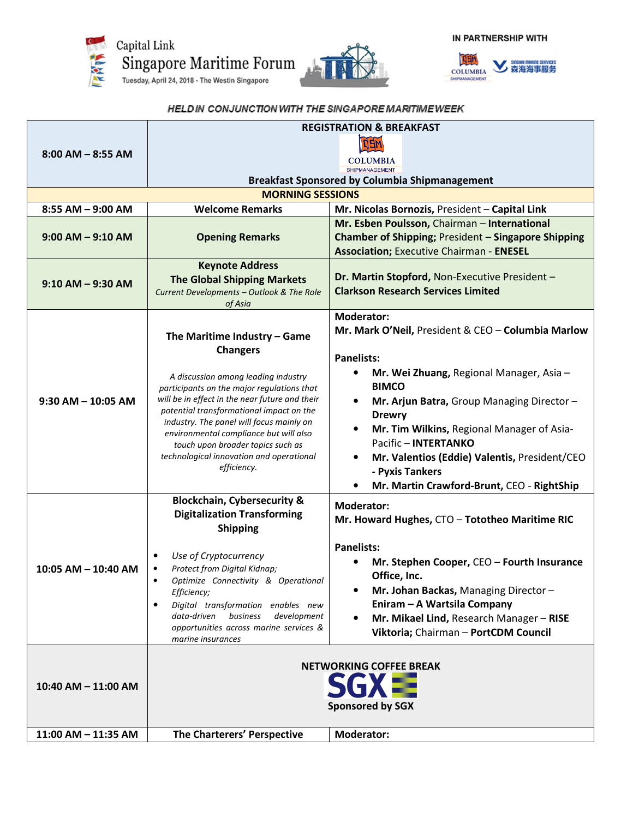

 $\textbf{Capital Link}$ Singapore Maritime Forum Tuesday, April 24, 2018 - The Westin Singapore



HELD IN CONJUNCTION WITH THE SINGAPORE MARITIME WEEK



|                         | <b>REGISTRATION &amp; BREAKFAST</b>                                                          |                                                                                                               |  |
|-------------------------|----------------------------------------------------------------------------------------------|---------------------------------------------------------------------------------------------------------------|--|
|                         | 11 SM                                                                                        |                                                                                                               |  |
| $8:00$ AM $-$ 8:55 AM   |                                                                                              | <b>COLUMBIA</b>                                                                                               |  |
|                         |                                                                                              | <b>SHIPMANAGEMENT</b><br><b>Breakfast Sponsored by Columbia Shipmanagement</b>                                |  |
|                         | <b>MORNING SESSIONS</b>                                                                      |                                                                                                               |  |
| 8:55 AM - 9:00 AM       | <b>Welcome Remarks</b>                                                                       | Mr. Nicolas Bornozis, President - Capital Link                                                                |  |
| $9:00$ AM $ 9:10$ AM    | <b>Opening Remarks</b>                                                                       | Mr. Esben Poulsson, Chairman - International                                                                  |  |
|                         |                                                                                              | <b>Chamber of Shipping; President - Singapore Shipping</b><br><b>Association; Executive Chairman - ENESEL</b> |  |
|                         | <b>Keynote Address</b>                                                                       |                                                                                                               |  |
| $9:10$ AM $-$ 9:30 AM   | <b>The Global Shipping Markets</b>                                                           | Dr. Martin Stopford, Non-Executive President -                                                                |  |
|                         | Current Developments - Outlook & The Role<br>of Asia                                         | <b>Clarkson Research Services Limited</b>                                                                     |  |
|                         |                                                                                              | <b>Moderator:</b>                                                                                             |  |
|                         | The Maritime Industry - Game                                                                 | Mr. Mark O'Neil, President & CEO - Columbia Marlow                                                            |  |
|                         | <b>Changers</b>                                                                              | <b>Panelists:</b>                                                                                             |  |
|                         |                                                                                              | Mr. Wei Zhuang, Regional Manager, Asia -<br>٠                                                                 |  |
| $9:30$ AM - 10:05 AM    | A discussion among leading industry<br>participants on the major regulations that            | <b>BIMCO</b>                                                                                                  |  |
|                         | will be in effect in the near future and their                                               | Mr. Arjun Batra, Group Managing Director-<br>$\bullet$                                                        |  |
|                         | potential transformational impact on the<br>industry. The panel will focus mainly on         | <b>Drewry</b>                                                                                                 |  |
|                         | environmental compliance but will also                                                       | Mr. Tim Wilkins, Regional Manager of Asia-<br>٠                                                               |  |
|                         | touch upon broader topics such as<br>technological innovation and operational<br>efficiency. | Pacific - INTERTANKO                                                                                          |  |
|                         |                                                                                              | Mr. Valentios (Eddie) Valentis, President/CEO<br>- Pyxis Tankers                                              |  |
|                         |                                                                                              | Mr. Martin Crawford-Brunt, CEO - RightShip<br>٠                                                               |  |
|                         | <b>Blockchain, Cybersecurity &amp;</b>                                                       | <b>Moderator:</b>                                                                                             |  |
|                         | <b>Digitalization Transforming</b>                                                           | Mr. Howard Hughes, CTO - Tototheo Maritime RIC                                                                |  |
|                         | <b>Shipping</b>                                                                              |                                                                                                               |  |
|                         | Use of Cryptocurrency                                                                        | <b>Panelists:</b>                                                                                             |  |
| 10:05 AM - 10:40 AM     | Protect from Digital Kidnap;                                                                 | Mr. Stephen Cooper, CEO - Fourth Insurance<br>Office, Inc.                                                    |  |
|                         | Optimize Connectivity & Operational<br>Efficiency;                                           | Mr. Johan Backas, Managing Director-<br>٠                                                                     |  |
|                         | Digital transformation enables new<br>٠                                                      | Eniram - A Wartsila Company                                                                                   |  |
|                         | business<br>data-driven<br>development<br>opportunities across marine services &             | Mr. Mikael Lind, Research Manager - RISE<br>$\bullet$                                                         |  |
|                         | marine insurances                                                                            | Viktoria; Chairman - PortCDM Council                                                                          |  |
|                         |                                                                                              |                                                                                                               |  |
|                         | <b>NETWORKING COFFEE BREAK</b>                                                               |                                                                                                               |  |
| $10:40$ AM $- 11:00$ AM |                                                                                              |                                                                                                               |  |
|                         | <b>Sponsored by SGX</b>                                                                      |                                                                                                               |  |
| 11:00 AM - 11:35 AM     | The Charterers' Perspective                                                                  | <b>Moderator:</b>                                                                                             |  |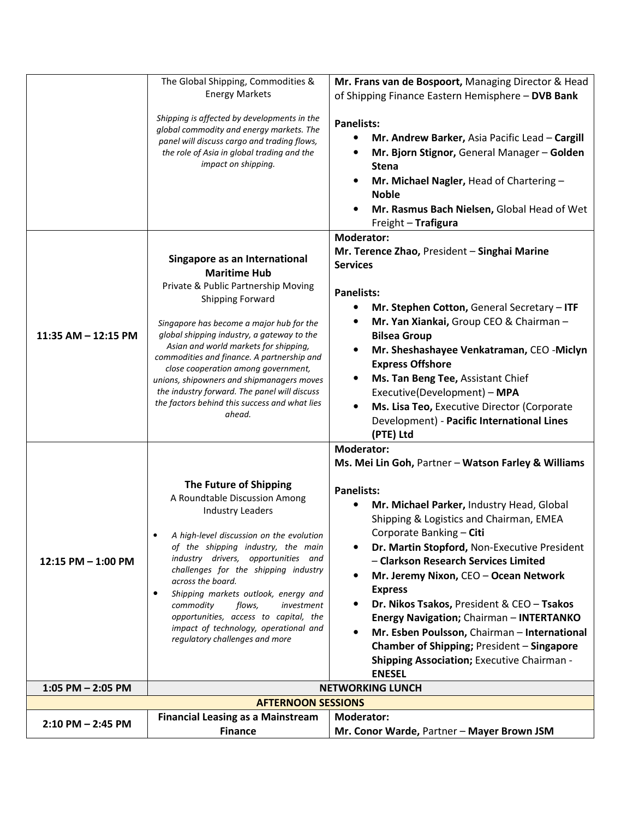|                           | The Global Shipping, Commodities &<br><b>Energy Markets</b>                                                                                                                                                                                                                                                                                                                                                                                                                                     | Mr. Frans van de Bospoort, Managing Director & Head<br>of Shipping Finance Eastern Hemisphere - DVB Bank                                                                                                                                                                                                                                                                                                                                                                                                                                                                                                                                                            |  |  |
|---------------------------|-------------------------------------------------------------------------------------------------------------------------------------------------------------------------------------------------------------------------------------------------------------------------------------------------------------------------------------------------------------------------------------------------------------------------------------------------------------------------------------------------|---------------------------------------------------------------------------------------------------------------------------------------------------------------------------------------------------------------------------------------------------------------------------------------------------------------------------------------------------------------------------------------------------------------------------------------------------------------------------------------------------------------------------------------------------------------------------------------------------------------------------------------------------------------------|--|--|
|                           | Shipping is affected by developments in the<br>global commodity and energy markets. The<br>panel will discuss cargo and trading flows,<br>the role of Asia in global trading and the<br>impact on shipping.                                                                                                                                                                                                                                                                                     | <b>Panelists:</b><br>Mr. Andrew Barker, Asia Pacific Lead - Cargill<br>Mr. Bjorn Stignor, General Manager - Golden<br><b>Stena</b><br>Mr. Michael Nagler, Head of Chartering -<br>$\bullet$<br><b>Noble</b><br>Mr. Rasmus Bach Nielsen, Global Head of Wet<br>$\bullet$<br>Freight - Trafigura                                                                                                                                                                                                                                                                                                                                                                      |  |  |
| 11:35 AM - 12:15 PM       | Singapore as an International<br><b>Maritime Hub</b><br>Private & Public Partnership Moving<br>Shipping Forward<br>Singapore has become a major hub for the<br>global shipping industry, a gateway to the<br>Asian and world markets for shipping,<br>commodities and finance. A partnership and<br>close cooperation among government,<br>unions, shipowners and shipmanagers moves<br>the industry forward. The panel will discuss<br>the factors behind this success and what lies<br>ahead. | <b>Moderator:</b><br>Mr. Terence Zhao, President - Singhai Marine<br><b>Services</b><br><b>Panelists:</b><br>Mr. Stephen Cotton, General Secretary - ITF<br>Mr. Yan Xiankai, Group CEO & Chairman -<br>٠<br><b>Bilsea Group</b><br>Mr. Sheshashayee Venkatraman, CEO -Miclyn<br>٠<br><b>Express Offshore</b><br>Ms. Tan Beng Tee, Assistant Chief<br>$\bullet$<br>Executive(Development) - MPA<br>Ms. Lisa Teo, Executive Director (Corporate<br>$\bullet$<br>Development) - Pacific International Lines<br>(PTE) Ltd                                                                                                                                               |  |  |
| 12:15 PM $-$ 1:00 PM      | The Future of Shipping<br>A Roundtable Discussion Among<br><b>Industry Leaders</b><br>A high-level discussion on the evolution<br>of the shipping industry, the main<br>industry drivers, opportunities and<br>challenges for the shipping industry<br>across the board.<br>Shipping markets outlook, energy and<br>٠<br>commodity<br>flows,<br>investment<br>opportunities, access to capital, the<br>impact of technology, operational and<br>regulatory challenges and more                  | <b>Moderator:</b><br>Ms. Mei Lin Goh, Partner - Watson Farley & Williams<br><b>Panelists:</b><br>Mr. Michael Parker, Industry Head, Global<br>Shipping & Logistics and Chairman, EMEA<br>Corporate Banking - Citi<br>Dr. Martin Stopford, Non-Executive President<br>- Clarkson Research Services Limited<br>Mr. Jeremy Nixon, CEO - Ocean Network<br>$\bullet$<br><b>Express</b><br>Dr. Nikos Tsakos, President & CEO - Tsakos<br><b>Energy Navigation; Chairman - INTERTANKO</b><br>Mr. Esben Poulsson, Chairman - International<br>$\bullet$<br>Chamber of Shipping; President - Singapore<br><b>Shipping Association; Executive Chairman -</b><br><b>ENESEL</b> |  |  |
| $1:05$ PM $- 2:05$ PM     |                                                                                                                                                                                                                                                                                                                                                                                                                                                                                                 | <b>NETWORKING LUNCH</b>                                                                                                                                                                                                                                                                                                                                                                                                                                                                                                                                                                                                                                             |  |  |
| <b>AFTERNOON SESSIONS</b> |                                                                                                                                                                                                                                                                                                                                                                                                                                                                                                 |                                                                                                                                                                                                                                                                                                                                                                                                                                                                                                                                                                                                                                                                     |  |  |
| $2:10$ PM $- 2:45$ PM     | <b>Financial Leasing as a Mainstream</b><br><b>Finance</b>                                                                                                                                                                                                                                                                                                                                                                                                                                      | <b>Moderator:</b><br>Mr. Conor Warde, Partner - Mayer Brown JSM                                                                                                                                                                                                                                                                                                                                                                                                                                                                                                                                                                                                     |  |  |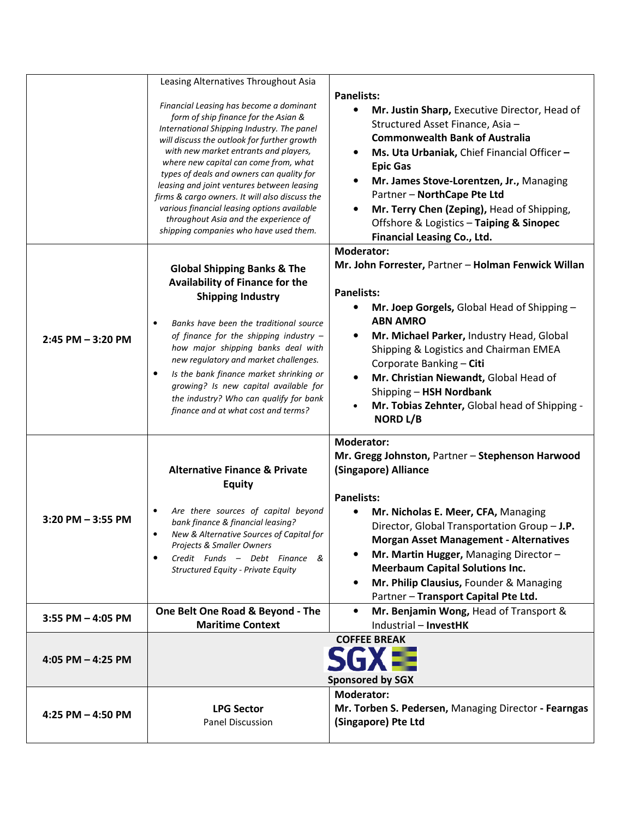|                       | Leasing Alternatives Throughout Asia                                                                                                                                                                                                                                                                                                                                                                                                                                                                                                          |                                                                                                                                                                                                                                                                                                                                                                                                                                               |
|-----------------------|-----------------------------------------------------------------------------------------------------------------------------------------------------------------------------------------------------------------------------------------------------------------------------------------------------------------------------------------------------------------------------------------------------------------------------------------------------------------------------------------------------------------------------------------------|-----------------------------------------------------------------------------------------------------------------------------------------------------------------------------------------------------------------------------------------------------------------------------------------------------------------------------------------------------------------------------------------------------------------------------------------------|
|                       | Financial Leasing has become a dominant<br>form of ship finance for the Asian &<br>International Shipping Industry. The panel<br>will discuss the outlook for further growth<br>with new market entrants and players,<br>where new capital can come from, what<br>types of deals and owners can quality for<br>leasing and joint ventures between leasing<br>firms & cargo owners. It will also discuss the<br>various financial leasing options available<br>throughout Asia and the experience of<br>shipping companies who have used them. | <b>Panelists:</b><br>Mr. Justin Sharp, Executive Director, Head of<br>$\bullet$<br>Structured Asset Finance, Asia -<br><b>Commonwealth Bank of Australia</b><br>Ms. Uta Urbaniak, Chief Financial Officer -<br><b>Epic Gas</b><br>Mr. James Stove-Lorentzen, Jr., Managing<br>٠<br>Partner - NorthCape Pte Ltd<br>Mr. Terry Chen (Zeping), Head of Shipping,<br>Offshore & Logistics - Taiping & Sinopec<br>Financial Leasing Co., Ltd.       |
| $2:45$ PM $-3:20$ PM  | <b>Global Shipping Banks &amp; The</b><br><b>Availability of Finance for the</b><br><b>Shipping Industry</b><br>Banks have been the traditional source<br>of finance for the shipping industry -<br>how major shipping banks deal with<br>new regulatory and market challenges.<br>Is the bank finance market shrinking or<br>growing? Is new capital available for<br>the industry? Who can qualify for bank<br>finance and at what cost and terms?                                                                                          | <b>Moderator:</b><br>Mr. John Forrester, Partner - Holman Fenwick Willan<br><b>Panelists:</b><br>Mr. Joep Gorgels, Global Head of Shipping -<br><b>ABN AMRO</b><br>Mr. Michael Parker, Industry Head, Global<br>Shipping & Logistics and Chairman EMEA<br>Corporate Banking - Citi<br>Mr. Christian Niewandt, Global Head of<br>Shipping - HSH Nordbank<br>Mr. Tobias Zehnter, Global head of Shipping -<br><b>NORD L/B</b>                   |
| $3:20$ PM $-3:55$ PM  | <b>Alternative Finance &amp; Private</b><br><b>Equity</b><br>Are there sources of capital beyond<br>bank finance & financial leasing?<br>New & Alternative Sources of Capital for<br>Projects & Smaller Owners<br>Credit Funds - Debt Finance &<br>$\bullet$<br>Structured Equity - Private Equity                                                                                                                                                                                                                                            | <b>Moderator:</b><br>Mr. Gregg Johnston, Partner - Stephenson Harwood<br>(Singapore) Alliance<br><b>Panelists:</b><br>Mr. Nicholas E. Meer, CFA, Managing<br>Director, Global Transportation Group - J.P.<br><b>Morgan Asset Management - Alternatives</b><br>Mr. Martin Hugger, Managing Director-<br><b>Meerbaum Capital Solutions Inc.</b><br>Mr. Philip Clausius, Founder & Managing<br>$\bullet$<br>Partner - Transport Capital Pte Ltd. |
| $3:55$ PM $-$ 4:05 PM | One Belt One Road & Beyond - The<br><b>Maritime Context</b>                                                                                                                                                                                                                                                                                                                                                                                                                                                                                   | Mr. Benjamin Wong, Head of Transport &<br>٠<br>Industrial - InvestHK                                                                                                                                                                                                                                                                                                                                                                          |
| $4:05$ PM $- 4:25$ PM | <b>COFFEE BREAK</b><br><b>Sponsored by SGX</b>                                                                                                                                                                                                                                                                                                                                                                                                                                                                                                |                                                                                                                                                                                                                                                                                                                                                                                                                                               |
| 4:25 PM $-$ 4:50 PM   | <b>LPG Sector</b><br><b>Panel Discussion</b>                                                                                                                                                                                                                                                                                                                                                                                                                                                                                                  | <b>Moderator:</b><br>Mr. Torben S. Pedersen, Managing Director - Fearngas<br>(Singapore) Pte Ltd                                                                                                                                                                                                                                                                                                                                              |